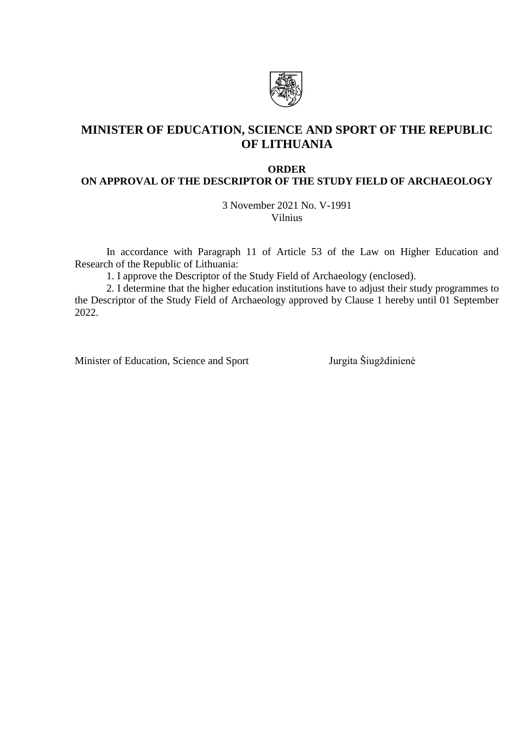

# **MINISTER OF EDUCATION, SCIENCE AND SPORT OF THE REPUBLIC OF LITHUANIA**

#### **ORDER**

## **ON APPROVAL OF THE DESCRIPTOR OF THE STUDY FIELD OF ARCHAEOLOGY**

3 November 2021 No. V-1991 Vilnius

In accordance with Paragraph 11 of Article 53 of the Law on Higher Education and Research of the Republic of Lithuania:

1. I approve the Descriptor of the Study Field of Archaeology (enclosed).

2. I determine that the higher education institutions have to adjust their study programmes to the Descriptor of the Study Field of Archaeology approved by Clause 1 hereby until 01 September 2022.

Minister of Education, Science and Sport Jurgita Šiugždinienė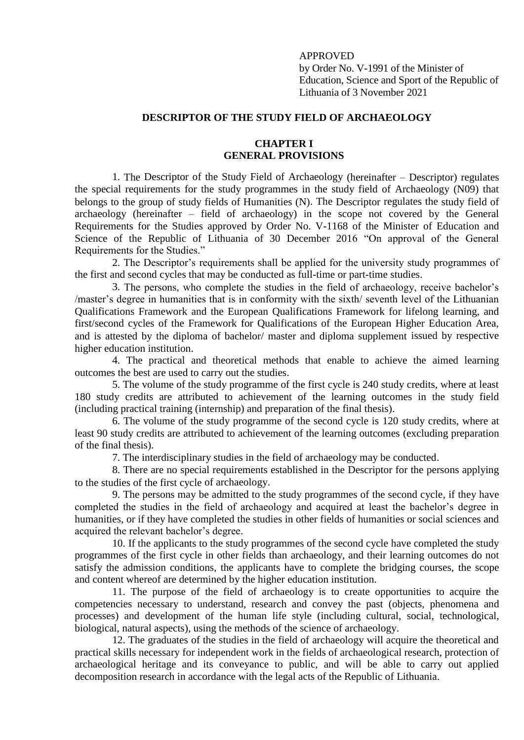### APPROVED

by Order No. V-1991 of the Minister of Education, Science and Sport of the Republic of Lithuania of 3 November 2021

## **DESCRIPTOR OF THE STUDY FIELD OF ARCHAEOLOGY**

### **CHAPTER I GENERAL PROVISIONS**

1. The Descriptor of the Study Field of Archaeology (hereinafter – Descriptor) regulates the special requirements for the study programmes in the study field of Archaeology (N09) that belongs to the group of study fields of Humanities (N). The Descriptor regulates the study field of archaeology (hereinafter – field of archaeology) in the scope not covered by the General Requirements for the Studies approved by Order No. V-1168 of the Minister of Education and Science of the Republic of Lithuania of 30 December 2016 "On approval of the General Requirements for the Studies."

2. The Descriptor's requirements shall be applied for the university study programmes of the first and second cycles that may be conducted as full-time or part-time studies.

3. The persons, who complete the studies in the field of archaeology, receive bachelor's /master's degree in humanities that is in conformity with the sixth/ seventh level of the Lithuanian Qualifications Framework and the European Qualifications Framework for lifelong learning, and first/second cycles of the Framework for Qualifications of the European Higher Education Area, and is attested by the diploma of bachelor/ master and diploma supplement issued by respective higher education institution.

4. The practical and theoretical methods that enable to achieve the aimed learning outcomes the best are used to carry out the studies.

5. The volume of the study programme of the first cycle is 240 study credits, where at least 180 study credits are attributed to achievement of the learning outcomes in the study field (including practical training (internship) and preparation of the final thesis).

6. The volume of the study programme of the second cycle is 120 study credits, where at least 90 study credits are attributed to achievement of the learning outcomes (excluding preparation of the final thesis).

7. The interdisciplinary studies in the field of archaeology may be conducted.

8. There are no special requirements established in the Descriptor for the persons applying to the studies of the first cycle of archaeology.

9. The persons may be admitted to the study programmes of the second cycle, if they have completed the studies in the field of archaeology and acquired at least the bachelor's degree in humanities, or if they have completed the studies in other fields of humanities or social sciences and acquired the relevant bachelor's degree.

10. If the applicants to the study programmes of the second cycle have completed the study programmes of the first cycle in other fields than archaeology, and their learning outcomes do not satisfy the admission conditions, the applicants have to complete the bridging courses, the scope and content whereof are determined by the higher education institution.

11. The purpose of the field of archaeology is to create opportunities to acquire the competencies necessary to understand, research and convey the past (objects, phenomena and processes) and development of the human life style (including cultural, social, technological, biological, natural aspects), using the methods of the science of archaeology.

12. The graduates of the studies in the field of archaeology will acquire the theoretical and practical skills necessary for independent work in the fields of archaeological research, protection of archaeological heritage and its conveyance to public, and will be able to carry out applied decomposition research in accordance with the legal acts of the Republic of Lithuania.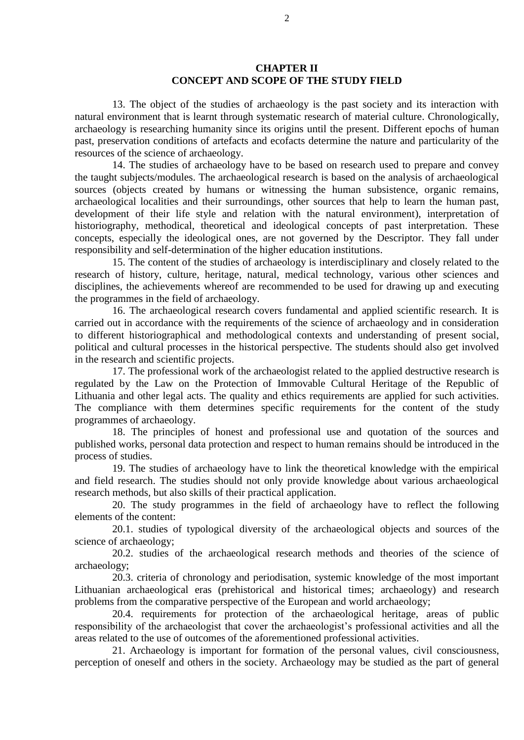#### **CHAPTER II CONCEPT AND SCOPE OF THE STUDY FIELD**

13. The object of the studies of archaeology is the past society and its interaction with natural environment that is learnt through systematic research of material culture. Chronologically, archaeology is researching humanity since its origins until the present. Different epochs of human past, preservation conditions of artefacts and ecofacts determine the nature and particularity of the resources of the science of archaeology.

14. The studies of archaeology have to be based on research used to prepare and convey the taught subjects/modules. The archaeological research is based on the analysis of archaeological sources (objects created by humans or witnessing the human subsistence, organic remains, archaeological localities and their surroundings, other sources that help to learn the human past, development of their life style and relation with the natural environment), interpretation of historiography, methodical, theoretical and ideological concepts of past interpretation. These concepts, especially the ideological ones, are not governed by the Descriptor. They fall under responsibility and self-determination of the higher education institutions.

15. The content of the studies of archaeology is interdisciplinary and closely related to the research of history, culture, heritage, natural, medical technology, various other sciences and disciplines, the achievements whereof are recommended to be used for drawing up and executing the programmes in the field of archaeology.

16. The archaeological research covers fundamental and applied scientific research. It is carried out in accordance with the requirements of the science of archaeology and in consideration to different historiographical and methodological contexts and understanding of present social, political and cultural processes in the historical perspective. The students should also get involved in the research and scientific projects.

17. The professional work of the archaeologist related to the applied destructive research is regulated by the Law on the Protection of Immovable Cultural Heritage of the Republic of Lithuania and other legal acts. The quality and ethics requirements are applied for such activities. The compliance with them determines specific requirements for the content of the study programmes of archaeology.

18. The principles of honest and professional use and quotation of the sources and published works, personal data protection and respect to human remains should be introduced in the process of studies.

19. The studies of archaeology have to link the theoretical knowledge with the empirical and field research. The studies should not only provide knowledge about various archaeological research methods, but also skills of their practical application.

20. The study programmes in the field of archaeology have to reflect the following elements of the content:

20.1. studies of typological diversity of the archaeological objects and sources of the science of archaeology;

20.2. studies of the archaeological research methods and theories of the science of archaeology;

20.3. criteria of chronology and periodisation, systemic knowledge of the most important Lithuanian archaeological eras (prehistorical and historical times; archaeology) and research problems from the comparative perspective of the European and world archaeology;

20.4. requirements for protection of the archaeological heritage, areas of public responsibility of the archaeologist that cover the archaeologist's professional activities and all the areas related to the use of outcomes of the aforementioned professional activities.

21. Archaeology is important for formation of the personal values, civil consciousness, perception of oneself and others in the society. Archaeology may be studied as the part of general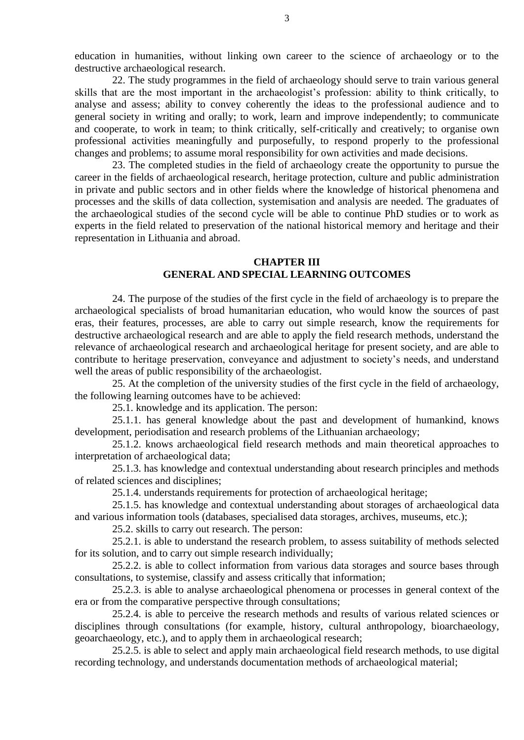education in humanities, without linking own career to the science of archaeology or to the destructive archaeological research.

22. The study programmes in the field of archaeology should serve to train various general skills that are the most important in the archaeologist's profession: ability to think critically, to analyse and assess; ability to convey coherently the ideas to the professional audience and to general society in writing and orally; to work, learn and improve independently; to communicate and cooperate, to work in team; to think critically, self-critically and creatively; to organise own professional activities meaningfully and purposefully, to respond properly to the professional changes and problems; to assume moral responsibility for own activities and made decisions.

23. The completed studies in the field of archaeology create the opportunity to pursue the career in the fields of archaeological research, heritage protection, culture and public administration in private and public sectors and in other fields where the knowledge of historical phenomena and processes and the skills of data collection, systemisation and analysis are needed. The graduates of the archaeological studies of the second cycle will be able to continue PhD studies or to work as experts in the field related to preservation of the national historical memory and heritage and their representation in Lithuania and abroad.

#### **CHAPTER III GENERAL AND SPECIAL LEARNING OUTCOMES**

24. The purpose of the studies of the first cycle in the field of archaeology is to prepare the archaeological specialists of broad humanitarian education, who would know the sources of past eras, their features, processes, are able to carry out simple research, know the requirements for destructive archaeological research and are able to apply the field research methods, understand the relevance of archaeological research and archaeological heritage for present society, and are able to contribute to heritage preservation, conveyance and adjustment to society's needs, and understand well the areas of public responsibility of the archaeologist.

25. At the completion of the university studies of the first cycle in the field of archaeology, the following learning outcomes have to be achieved:

25.1. knowledge and its application. The person:

25.1.1. has general knowledge about the past and development of humankind, knows development, periodisation and research problems of the Lithuanian archaeology;

25.1.2. knows archaeological field research methods and main theoretical approaches to interpretation of archaeological data;

25.1.3. has knowledge and contextual understanding about research principles and methods of related sciences and disciplines;

25.1.4. understands requirements for protection of archaeological heritage;

25.1.5. has knowledge and contextual understanding about storages of archaeological data and various information tools (databases, specialised data storages, archives, museums, etc.);

25.2. skills to carry out research. The person:

25.2.1. is able to understand the research problem, to assess suitability of methods selected for its solution, and to carry out simple research individually;

25.2.2. is able to collect information from various data storages and source bases through consultations, to systemise, classify and assess critically that information;

25.2.3. is able to analyse archaeological phenomena or processes in general context of the era or from the comparative perspective through consultations;

25.2.4. is able to perceive the research methods and results of various related sciences or disciplines through consultations (for example, history, cultural anthropology, bioarchaeology, geoarchaeology, etc.), and to apply them in archaeological research;

25.2.5. is able to select and apply main archaeological field research methods, to use digital recording technology, and understands documentation methods of archaeological material;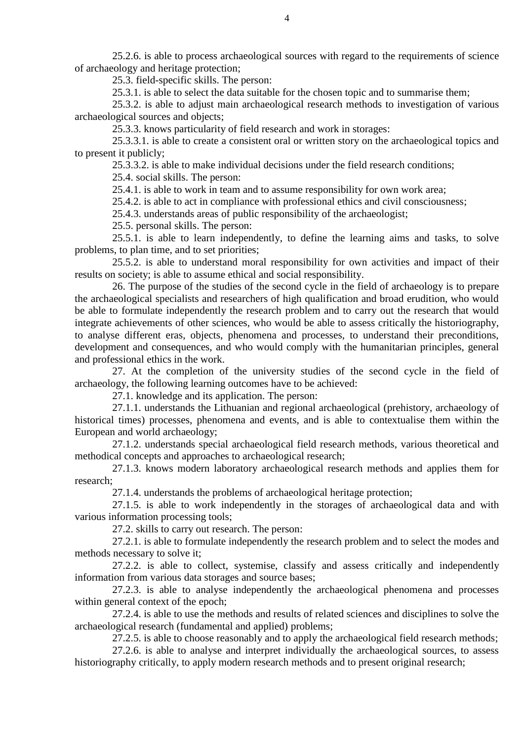25.2.6. is able to process archaeological sources with regard to the requirements of science of archaeology and heritage protection;

25.3. field-specific skills. The person:

25.3.1. is able to select the data suitable for the chosen topic and to summarise them;

25.3.2. is able to adjust main archaeological research methods to investigation of various archaeological sources and objects;

25.3.3. knows particularity of field research and work in storages:

25.3.3.1. is able to create a consistent oral or written story on the archaeological topics and to present it publicly;

25.3.3.2. is able to make individual decisions under the field research conditions;

25.4. social skills. The person:

25.4.1. is able to work in team and to assume responsibility for own work area;

25.4.2. is able to act in compliance with professional ethics and civil consciousness;

25.4.3. understands areas of public responsibility of the archaeologist;

25.5. personal skills. The person:

25.5.1. is able to learn independently, to define the learning aims and tasks, to solve problems, to plan time, and to set priorities;

25.5.2. is able to understand moral responsibility for own activities and impact of their results on society; is able to assume ethical and social responsibility.

26. The purpose of the studies of the second cycle in the field of archaeology is to prepare the archaeological specialists and researchers of high qualification and broad erudition, who would be able to formulate independently the research problem and to carry out the research that would integrate achievements of other sciences, who would be able to assess critically the historiography, to analyse different eras, objects, phenomena and processes, to understand their preconditions, development and consequences, and who would comply with the humanitarian principles, general and professional ethics in the work.

27. At the completion of the university studies of the second cycle in the field of archaeology, the following learning outcomes have to be achieved:

27.1. knowledge and its application. The person:

27.1.1. understands the Lithuanian and regional archaeological (prehistory, archaeology of historical times) processes, phenomena and events, and is able to contextualise them within the European and world archaeology;

27.1.2. understands special archaeological field research methods, various theoretical and methodical concepts and approaches to archaeological research;

27.1.3. knows modern laboratory archaeological research methods and applies them for research;

27.1.4. understands the problems of archaeological heritage protection;

27.1.5. is able to work independently in the storages of archaeological data and with various information processing tools;

27.2. skills to carry out research. The person:

27.2.1. is able to formulate independently the research problem and to select the modes and methods necessary to solve it;

27.2.2. is able to collect, systemise, classify and assess critically and independently information from various data storages and source bases;

27.2.3. is able to analyse independently the archaeological phenomena and processes within general context of the epoch;

27.2.4. is able to use the methods and results of related sciences and disciplines to solve the archaeological research (fundamental and applied) problems;

27.2.5. is able to choose reasonably and to apply the archaeological field research methods;

27.2.6. is able to analyse and interpret individually the archaeological sources, to assess historiography critically, to apply modern research methods and to present original research;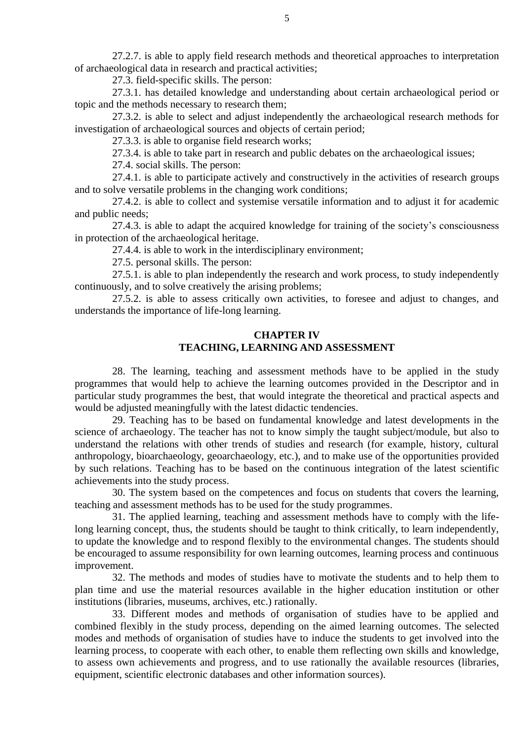27.2.7. is able to apply field research methods and theoretical approaches to interpretation of archaeological data in research and practical activities;

27.3. field-specific skills. The person:

27.3.1. has detailed knowledge and understanding about certain archaeological period or topic and the methods necessary to research them;

27.3.2. is able to select and adjust independently the archaeological research methods for investigation of archaeological sources and objects of certain period;

27.3.3. is able to organise field research works;

27.3.4. is able to take part in research and public debates on the archaeological issues;

27.4. social skills. The person:

27.4.1. is able to participate actively and constructively in the activities of research groups and to solve versatile problems in the changing work conditions;

27.4.2. is able to collect and systemise versatile information and to adjust it for academic and public needs;

27.4.3. is able to adapt the acquired knowledge for training of the society's consciousness in protection of the archaeological heritage.

27.4.4. is able to work in the interdisciplinary environment;

27.5. personal skills. The person:

27.5.1. is able to plan independently the research and work process, to study independently continuously, and to solve creatively the arising problems;

27.5.2. is able to assess critically own activities, to foresee and adjust to changes, and understands the importance of life-long learning.

### **CHAPTER IV TEACHING, LEARNING AND ASSESSMENT**

28. The learning, teaching and assessment methods have to be applied in the study programmes that would help to achieve the learning outcomes provided in the Descriptor and in particular study programmes the best, that would integrate the theoretical and practical aspects and would be adjusted meaningfully with the latest didactic tendencies.

29. Teaching has to be based on fundamental knowledge and latest developments in the science of archaeology. The teacher has not to know simply the taught subject/module, but also to understand the relations with other trends of studies and research (for example, history, cultural anthropology, bioarchaeology, geoarchaeology, etc.), and to make use of the opportunities provided by such relations. Teaching has to be based on the continuous integration of the latest scientific achievements into the study process.

30. The system based on the competences and focus on students that covers the learning, teaching and assessment methods has to be used for the study programmes.

31. The applied learning, teaching and assessment methods have to comply with the lifelong learning concept, thus, the students should be taught to think critically, to learn independently, to update the knowledge and to respond flexibly to the environmental changes. The students should be encouraged to assume responsibility for own learning outcomes, learning process and continuous improvement.

32. The methods and modes of studies have to motivate the students and to help them to plan time and use the material resources available in the higher education institution or other institutions (libraries, museums, archives, etc.) rationally.

33. Different modes and methods of organisation of studies have to be applied and combined flexibly in the study process, depending on the aimed learning outcomes. The selected modes and methods of organisation of studies have to induce the students to get involved into the learning process, to cooperate with each other, to enable them reflecting own skills and knowledge, to assess own achievements and progress, and to use rationally the available resources (libraries, equipment, scientific electronic databases and other information sources).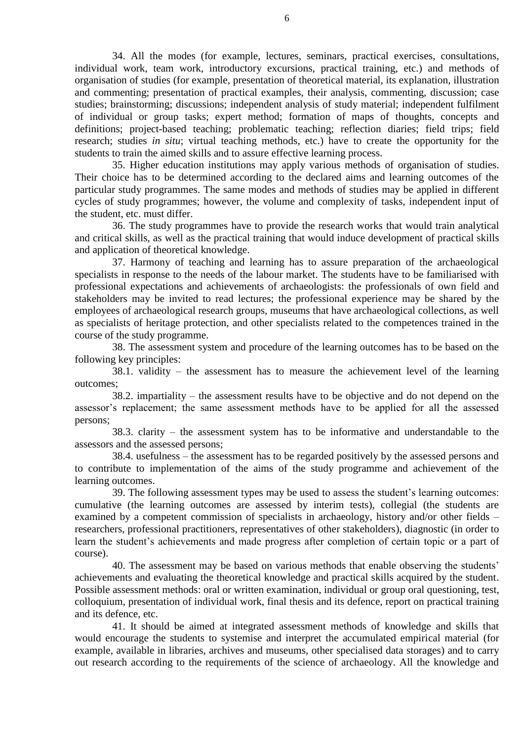34. All the modes (for example, lectures, seminars, practical exercises, consultations, individual work, team work, introductory excursions, practical training, etc.) and methods of organisation of studies (for example, presentation of theoretical material, its explanation, illustration and commenting; presentation of practical examples, their analysis, commenting, discussion; case studies; brainstorming; discussions; independent analysis of study material; independent fulfilment of individual or group tasks; expert method; formation of maps of thoughts, concepts and definitions; project-based teaching; problematic teaching; reflection diaries; field trips; field research; studies *in situ*; virtual teaching methods, etc.) have to create the opportunity for the students to train the aimed skills and to assure effective learning process.

35. Higher education institutions may apply various methods of organisation of studies. Their choice has to be determined according to the declared aims and learning outcomes of the particular study programmes. The same modes and methods of studies may be applied in different cycles of study programmes; however, the volume and complexity of tasks, independent input of the student, etc. must differ.

36. The study programmes have to provide the research works that would train analytical and critical skills, as well as the practical training that would induce development of practical skills and application of theoretical knowledge.

37. Harmony of teaching and learning has to assure preparation of the archaeological specialists in response to the needs of the labour market. The students have to be familiarised with professional expectations and achievements of archaeologists: the professionals of own field and stakeholders may be invited to read lectures; the professional experience may be shared by the employees of archaeological research groups, museums that have archaeological collections, as well as specialists of heritage protection, and other specialists related to the competences trained in the course of the study programme.

38. The assessment system and procedure of the learning outcomes has to be based on the following key principles:

38.1. validity – the assessment has to measure the achievement level of the learning outcomes;

38.2. impartiality – the assessment results have to be objective and do not depend on the assessor's replacement; the same assessment methods have to be applied for all the assessed persons;

38.3. clarity – the assessment system has to be informative and understandable to the assessors and the assessed persons;

38.4. usefulness – the assessment has to be regarded positively by the assessed persons and to contribute to implementation of the aims of the study programme and achievement of the learning outcomes.

39. The following assessment types may be used to assess the student's learning outcomes: cumulative (the learning outcomes are assessed by interim tests), collegial (the students are examined by a competent commission of specialists in archaeology, history and/or other fields – researchers, professional practitioners, representatives of other stakeholders), diagnostic (in order to learn the student's achievements and made progress after completion of certain topic or a part of course).

40. The assessment may be based on various methods that enable observing the students' achievements and evaluating the theoretical knowledge and practical skills acquired by the student. Possible assessment methods: oral or written examination, individual or group oral questioning, test, colloquium, presentation of individual work, final thesis and its defence, report on practical training and its defence, etc.

41. It should be aimed at integrated assessment methods of knowledge and skills that would encourage the students to systemise and interpret the accumulated empirical material (for example, available in libraries, archives and museums, other specialised data storages) and to carry out research according to the requirements of the science of archaeology. All the knowledge and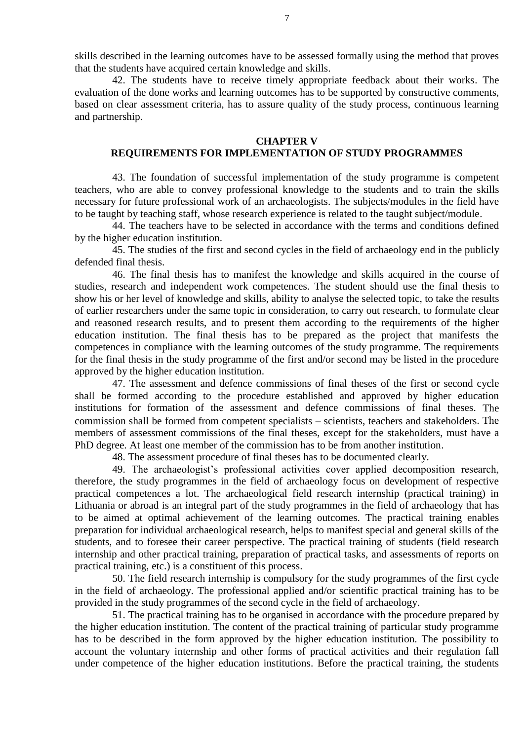skills described in the learning outcomes have to be assessed formally using the method that proves that the students have acquired certain knowledge and skills.

42. The students have to receive timely appropriate feedback about their works. The evaluation of the done works and learning outcomes has to be supported by constructive comments, based on clear assessment criteria, has to assure quality of the study process, continuous learning and partnership.

#### **CHAPTER V**

### **REQUIREMENTS FOR IMPLEMENTATION OF STUDY PROGRAMMES**

43. The foundation of successful implementation of the study programme is competent teachers, who are able to convey professional knowledge to the students and to train the skills necessary for future professional work of an archaeologists. The subjects/modules in the field have to be taught by teaching staff, whose research experience is related to the taught subject/module.

44. The teachers have to be selected in accordance with the terms and conditions defined by the higher education institution.

45. The studies of the first and second cycles in the field of archaeology end in the publicly defended final thesis.

46. The final thesis has to manifest the knowledge and skills acquired in the course of studies, research and independent work competences. The student should use the final thesis to show his or her level of knowledge and skills, ability to analyse the selected topic, to take the results of earlier researchers under the same topic in consideration, to carry out research, to formulate clear and reasoned research results, and to present them according to the requirements of the higher education institution. The final thesis has to be prepared as the project that manifests the competences in compliance with the learning outcomes of the study programme. The requirements for the final thesis in the study programme of the first and/or second may be listed in the procedure approved by the higher education institution.

47. The assessment and defence commissions of final theses of the first or second cycle shall be formed according to the procedure established and approved by higher education institutions for formation of the assessment and defence commissions of final theses. The commission shall be formed from competent specialists – scientists, teachers and stakeholders. The members of assessment commissions of the final theses, except for the stakeholders, must have a PhD degree. At least one member of the commission has to be from another institution.

48. The assessment procedure of final theses has to be documented clearly.

49. The archaeologist's professional activities cover applied decomposition research, therefore, the study programmes in the field of archaeology focus on development of respective practical competences a lot. The archaeological field research internship (practical training) in Lithuania or abroad is an integral part of the study programmes in the field of archaeology that has to be aimed at optimal achievement of the learning outcomes. The practical training enables preparation for individual archaeological research, helps to manifest special and general skills of the students, and to foresee their career perspective. The practical training of students (field research internship and other practical training, preparation of practical tasks, and assessments of reports on practical training, etc.) is a constituent of this process.

50. The field research internship is compulsory for the study programmes of the first cycle in the field of archaeology. The professional applied and/or scientific practical training has to be provided in the study programmes of the second cycle in the field of archaeology.

51. The practical training has to be organised in accordance with the procedure prepared by the higher education institution. The content of the practical training of particular study programme has to be described in the form approved by the higher education institution. The possibility to account the voluntary internship and other forms of practical activities and their regulation fall under competence of the higher education institutions. Before the practical training, the students